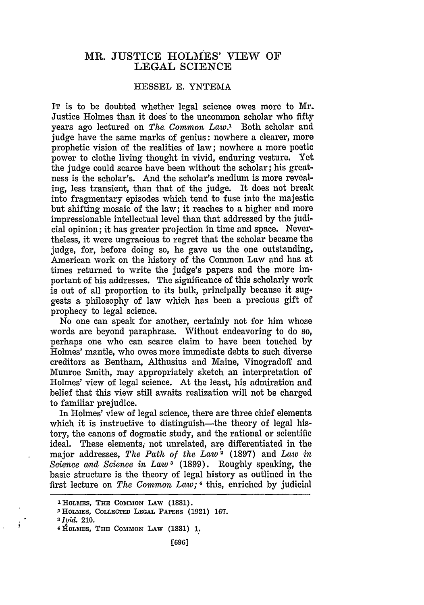# MR. JUSTICE HOLMES' VIEW OF LEGAL SCIENCE

#### HESSEL E. YNTEMA

IT is to be doubted whether legal science owes more to Mr. Justice Holmes than it does' to the uncommon scholar who fifty years ago lectured on The *Common Law."* Both scholar and judge have the same marks of genius: nowhere a clearer, more prophetic vision of the realities of law; nowhere a more poetic power to clothe living thought in vivid, enduring vesture. Yet the judge could scarce have been without the scholar; his greatness is the scholar's. And the scholar's medium is more revealing, less transient, than that of the judge. It does not break into fragmentary episodes which tend to fuse into the majestic but shifting mosaic of the law; it reaches to a higher and more impressionable intellectual level than that addressed by the judicial opinion; it has greater projection in time and space. Nevertheless, it were ungracious to regret that the scholar became the judge, for, before doing so, he gave us the one outstanding, American work on the history of the Common Law and has at times returned to write the judge's papers and the more important of his addresses. The significance of this scholarly work is out of all proportion to its bulk, principally because it suggests a philosophy of law which has been a precious gift of prophecy to legal science.

No one can speak for another, certainly not for him whose words are beyond paraphrase. Without endeavoring to do so, perhaps one who can scarce claim to have been touched by Holmes' mantle, who owes more immediate debts to such diverse creditors as Bentham, Althusius and Maine, Vinogradoff and Munroe Smith, may appropriately sketch an interpretation of Holmes' view of legal science. At the least, his admiration and belief that this view still awaits realization will not be charged to familiar prejudice.

In Holmes' view of legal science, there are three chief elements which it is instructive to distinguish—the theory of legal history, the canons of dogmatic study, and the rational or scientific ideal. These elements; not unrelated, are differentiated in the major addresses, *The Path of the Law* 2 (1897) and *Law in Science and Science in Law* **3** (1899). Roughly speaking, the basic structure is the theory of legal history as outlined in the first lecture on *The Common Law;* **"** this, enriched by judicial

**<sup>1</sup> HoLMEs, THE COMMON** LAW **(1881).**

**HOLMES, COLLECTED LEGAL PAPERS (1921) 167.**

**<sup>3</sup>** koid. **210.**

<sup>4</sup> **1OLMES, THE COMMON LAW (1881) 1.**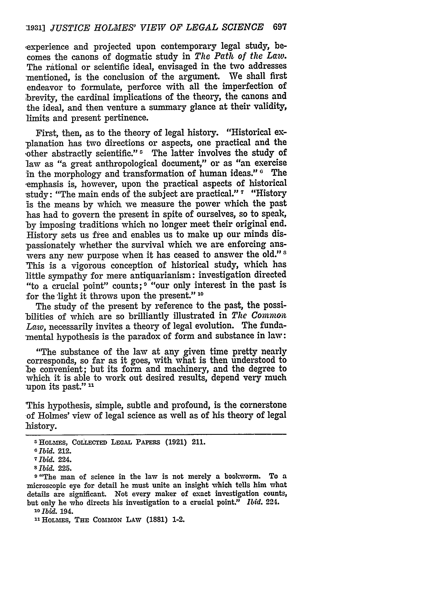# **:1931]** *JUSTICE HOLMES' VIEW OF LEGAL SCIENCE* **697**

,experience and projected upon contemporary legal study, becomes the canons of dogmatic study in *The Path of the Law.* The rational or scientific ideal, envisaged in the two addresses mentioned, is the conclusion of the argument. We shall first endeavor to formulate, perforce with all the imperfection of brevity, the cardinal implications of the theory, the canons and the ideal, and then venture a summary glance at their validity, limits and present pertinence.

First, then, as to the theory of legal history. "Historical **ex-** -planation has two directions or aspects, one practical and the other abstractly scientific."<sup>5</sup> The latter involves the study of law as "a great anthropological document," or as "an exercise in the morphology and transformation of human ideas." <sup>6</sup> The ,emphasis is, however, upon the practical aspects of historical study: "The main ends of the subject are practical." **7** "History is the means by which we measure the power which the past has had to govern the present in spite of ourselves, so to speak, by imposing traditions which no longer meet their original end. History sets us free and enables us to make up our minds dis- -passionately whether the survival which we are enforcing answers any new purpose when it has ceased to answer the old." **8** This is a vigorous conception of historical study, which has little sympathy for mere antiquarianism: investigation directed "to a crucial point" counts; **0** "our only interest in the past is for the light it throws upon the present."<sup>10</sup>

The study of the present by reference to the past, the possibilities of which are so brilliantly illustrated in *The Common Law,* necessarily invites a theory of legal evolution. The fundamental hypothesis is the paradox of form and substance in law:

"The substance of the law at any given time pretty nearly corresponds, so far as it goes, with what is then understood to be convenient; but its form and machinery, and the degree to which it is able to work out desired results, depend very much upon its past." "

This hypothesis, simple, subtle and profound, is the cornerstone of Holmes' view of legal science as well as of his theory of legal history.

<sup>9</sup> "The man of science in the law is not merely a bookworm. To a microscopic eye for detail he must unite an insight which tells him what details are significant. Not every maker of exact investigation counts, but only he who directs his investigation to a crucial point." *Ibid.* 224.

*lo Ibid.* 194.

**<sup>5</sup> HOLMES, COLLECTED LEGAL PAPERS (1921)** 211.

*<sup>6</sup> Ibid.* 212.

**<sup>7</sup>***Ibid.* 224.

*<sup>8</sup>Ibid.* 225.

**<sup>11</sup> HOLmES, THE CoimON** LAW (1881) 1-2.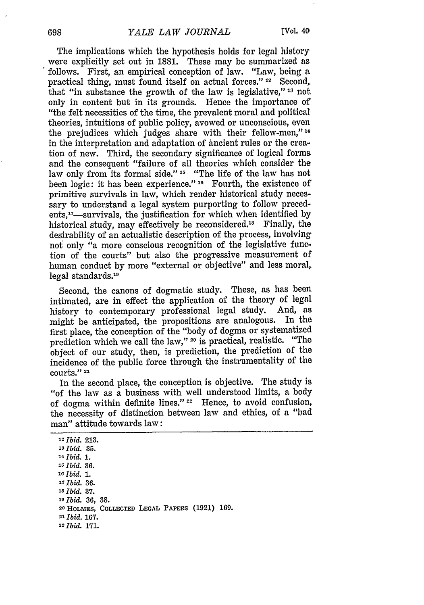The implications which the hypothesis holds for legal history were explicitly set out in 1881. These may be summarized as follows. First, an empirical conception of law. "Law, being a practical thing, must found itself on actual forces." **12** Second, that "in substance the growth of the law is legislative,"<sup>13</sup> not only in content but in its grounds. Hence the importance of "the felt necessities of the time, the prevalent moral and political theories, intuitions of public policy, avowed or unconscious, even the prejudices which judges share with their fellow-men," 14 in the interpretation and adaptation of ancient rules or the creation of new. Third, the secondary significance of logical forms. and the consequent "failure of all theories which consider the law only from its formal side."<sup>15</sup> "The life of the law has not been logic: it has been experience." **10** Fourth, the existence of primitive survivals in law, which render historical study necessary to understand a legal system purporting to follow precedents,<sup>17</sup>—survivals, the justification for which when identified by historical study, may effectively be reconsidered.'8 Finally, the desirability of an actualistic description of the process, involving not only "a more conscious recognition of the legislative function of the courts" but also the progressive measurement of human conduct by more "external or objective" and less moral, legal standards.<sup>19</sup>

Second, the canons of dogmatic study. These, as has been intimated, are in effect the application of the theory of legal<br>history to contemporary professional legal study. And, as history to contemporary professional legal study. And, as might be anticipated the propositions are analogous. In the might be anticipated, the propositions are analogous. first place, the conception of the "body of dogma or systematized prediction which we call the law," **20** is practical, realistic. "The object of our study, then, is prediction, the prediction of the incidence of the public force through the instrumentality of the courts." **21**

In the second place, the conception is objective. The study is "of the law as a business with well understood limits, a body of dogma within definite lines." 22 Hence, to avoid confusion, the necessity of distinction between law and ethics, of a "bad man" attitude towards law:

**<sup>12</sup>***Ibid.* **213.** *<sup>13</sup>Ibid.* **35. <sup>14</sup>***Ibid.* **1.** *1r, Ibid.* **36.** *<sup>16</sup>Ibid.* **1.** *1Ibid.* **36.** *1S Ibid.* **37.** *<sup>19</sup>Ibid.* **36, 38. 20 HOLLIES, COLLECTED LEGAL PAPERS (1921) 169.** <sup>21</sup>*Ibid.* **167.** *22Ibid.* **171.**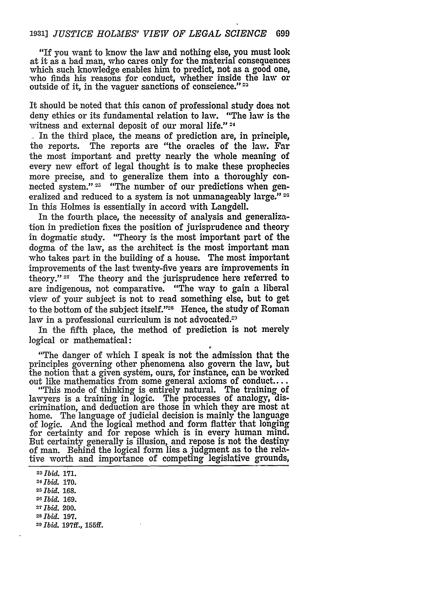## 1931] *JUSTICE HOLMES' VIEW OF LEGAL SCIENCE* 699

"If you want to know the law and nothing else, you must look at it as a bad man, who cares only for the material consequences which such knowledge enables him to predict, not as a good one, who finds his reasons for conduct, whether inside the law or outside of it, in the vaguer sanctions of conscience." **23**

It should be noted that this canon of professional study does not deny ethics or its fundamental relation to law. "The law is the witness and external deposit of our moral life."<sup>24</sup>

In the third place, the means of prediction are, in principle, the reports. The reports are "the oracles of the law. Far the most important and pretty nearly the whole meaning of every new effort of legal thought is to make these prophecies more precise, and to generalize them into a thoroughly connected system." **25** "The number of our predictions when generalized and reduced to a system is not unmanageably large."<sup>26</sup> In this Holmes is essentially in accord with Langdell.

In the fourth place, the necessity of analysis and generalization in prediction fixes the position of jurisprudence and theory in dogmatic study. "Theory is the most important part of the dogma of the law, as the architect is the most important man who takes part in the building of a house. The most important improvements of the last twenty-five years are improvements in theory."<sup>27</sup> The theory and the jurisprudence here referred to are indigenous, not comparative. "The way to gain a liberal view of your subject is not to read something else, but to get to the bottom of the subject itself."<sup>28</sup> Hence, the study of Roman law in a professional curriculum is not advocated.<sup>23</sup>

In the fifth place, the method of prediction is not merely logical or mathematical:

"The danger of which I speak is not the admission that the principles governing other phenomena also govern the law, but the notion that a given system, ours, for instance, can be worked out like mathematics from some general axioms of conduct....

"This mode of thinking is entirely natural. The training of lawyers is a training in logic. The processes of analogy, discrimination, and deduction are those in which they are most at home. The language of judicial decision is mainly the language of logic. And the logical method and form flatter that longing for certainty and for repose which is in every human mind. But certainty generally is illusion, and repose is not the destiny of man. Behind the logical form lies a judgment as to the relative worth and importance of competing legislative grounds,

**Ibid, 171.** <sup>24</sup> *Ibid.* 170. *Ibid.* 168. *<sup>2</sup> 6 Ibid* 169. *Ibid.* 200. *Ibid.* 197. *Ibid.* 197ff., 155ff.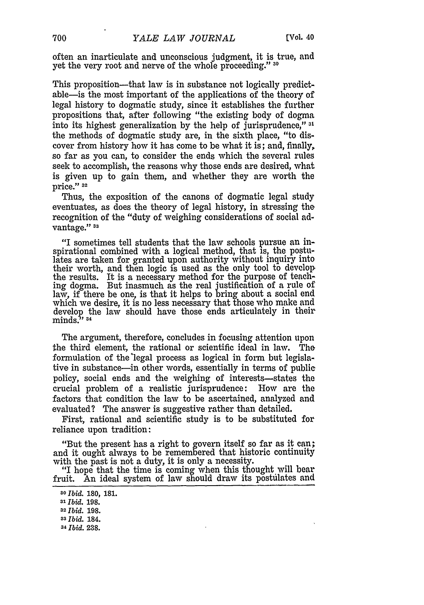often an inarticulate and unconscious judgment, it is true, and yet the very root and nerve of the whole proceeding." **30**

This proposition—that law is in substance not logically predictable-is the most important of the applications of the theory of legal history to dogmatic study, since it establishes the further propositions that, after following "the existing body of dogma into its highest generalization by the help of jurisprudence," **11** the methods of dogmatic study are, in the sixth place, "to discover from history how it has come to be what it is; and, finally, so far as you can, to consider the ends which the several rules seek to accomplish, the reasons why those ends are desired, what is given up to gain them, and whether they are worth the price." **<sup>32</sup>**

Thus, the exposition of the canons of dogmatic legal study eventuates, as does the theory of legal history, in stressing the recognition of the "duty of weighing considerations of social advantage." **<sup>33</sup>**

"I sometimes tell students that the law schools pursue an inspirational combined with a logical method, that is, the postulates are taken for granted upon authority without inquiry into their worth, and then logic is used as the only tool to develop the results. It is a necessary method for the purpose of teaching dogma. But inasmuch as the real justification of a rule of law, if there be one, is that it helps to bring about a social end which we desire, it is no less necessary that those who make and develop the law should have those ends articulately in their minds."<sup>34</sup>

The argument, therefore, concludes in focusing attention upon the third element, the rational or scientific ideal in law. The formulation of the'legal process as logical in form but legislative in substance-in other words, essentially in terms of public policy, social ends and the weighing of interests--states the crucial problem of a realistic jurisprudence: How are the factors that condition the law to be ascertained, analyzed and evaluated? The answer is suggestive rather than detailed.

First, rational and scientific study is to be substituted for reliance upon tradition:

"But the present has a right to govern itself so far as it can;<br>and it ought always to be remembered that historic continuity

with the past is not a duty, it is only a necessity.<br>"I hope that the time is coming when this thought will bear fruit. An ideal system of law should draw its postulates and

**<sup>34</sup>***Ibid.* **238.**

**<sup>3</sup>o** *Ibid.* **180,** 181. **<sup>31</sup>***Ibid.* 198.

<sup>2</sup> *Ibid.* **198.**

*<sup>331</sup>Ibid.* **184.**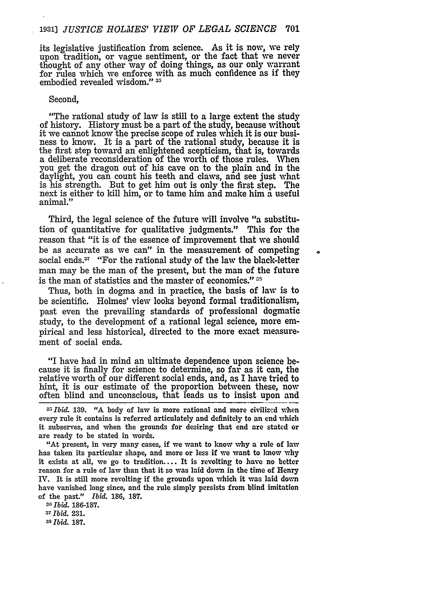### 1931] *JUSTICE HOLMES' VIEW OF LEGAL SCIENCE* **701**

its legislative justification from science. As it is now, we rely upon tradition, or vague sentiment, or the fact that we never thought of any other way of doing things, as our only warrant for rules which we enforce with as much confidence as if they embodied revealed wisdom." **35**

#### Second,

"The rational study of law is still to a large extent the study of history. History must be a part of the study, because without it we cannot know the precise scope of rules which it is our business to know. It is a part of the rational study, because it is the first step toward an enlightened scepticism, ihat is, towards a deliberate reconsideration of the worth of those rules. When you get the dragon out of his cave on to the plain and in the daylight, you can count his teeth and claws, and see just what is his strength. But to get him out is only the first step. The next is either to kill him, or to tame him and make him a useful animal."

Third, the legal science of the future will involve "a substitution of quantitative for qualitative judgments." This for the reason that "it is of the essence of improvement that we should be as accurate as we can" in the measurement of competing social ends.<sup>37</sup> "For the rational study of the law the black-letter man may be the man of the present, but the man of the future is the man of statistics and the master of economics." **39**

Thus, both in dogma and in practice, the basis of law is to be scientific. Holmes' view looks beyond formal traditionalism, past even the prevailing standards of professional dogmatic study, to the development of a rational legal science, more empirical and less historical, directed to the more exact measurement of social ends.

"I have had in mind an ultimate dependence upon science because it is finally for science to determine, so far as it can, the relative worth of our different social ends, and, as I have tried to hint, it is our estimate of the proportion between these, now often blind and unconscious, that leads us to insist upon and

<sup>35</sup> Ibid. 139. "A body of law is more rational and more civilized when every rule it contains is referred articulately and definitely to an end which it subserves, and when the grounds for desiring that end are stated or are ready to be stated in words.

"At present, in very many cases, if we want to know why a rule of law has taken its particular shape, and more or less if we want to know why it exists at all, we go to tradition.... It is revolting to have no better reason for a rule of law than that it so was laid down in the time of Henry IV. It is still more revolting if the grounds upon which it was laid down have vanished long since, and the rule simply persists from blind imitation of the past." *Ibid.* **186, 187.**

**<sup>30</sup>***Ibid.* **186-187. <sup>37</sup>***Ibid.* **231. 38** *Ibid.* **187.**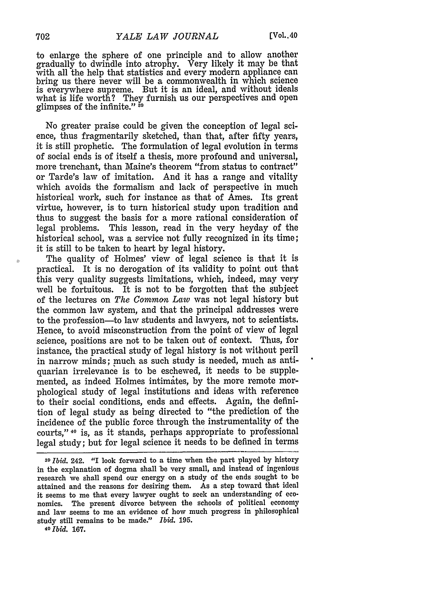to enlarge the sphere of one principle and to allow another gradually to dwindle into atrophy. Very likely it may be that with all the help that statistics and every modern appliance can bring us there never will be a commonwealth in which science is everywhere supreme. But it is an ideal, and without ideals what is life worth? They furnish us our perspectives and open glimpses of the infinite." **89**

No greater praise could be given the conception of legal science, thus fragmentarily sketched, than that, after fifty years, it is still prophetic. The formulation of legal evolution in terms of social ends is of itself a thesis, more profound and universal, more trenchant, than Maine's theorem "from status to contract" or Tarde's law of imitation. And it has a range and vitality which avoids the formalism and lack of perspective in much historical work, such for instance as that of Ames. Its great virtue, however, is to turn historical study upon tradition and thus to suggest the basis for a more rational consideration of legal problems. This lesson, read in the very heyday of the historical school, was a service not fully recognized in its time; it is still to be taken to heart by legal history.

The quality of Holmes' view of legal science is that it is practical. It is no derogation of its validity to point out that this very quality suggests limitations, which, indeed, may very well be fortuitous. It is not to be forgotten that the subject of the lectures on *The Common Law* was not legal history but the common law system, and that the principal addresses were to the profession-to law students and lawyers, not to scientists. Hence, to avoid misconstruction from the point of view of legal science, positions are not to be taken out of context. Thus, for instance, the practical study of legal history is not without peril in narrow minds; much as such study is needed, much as antiquarian irrelevance is to be eschewed, it needs to be supplemented, as indeed Holmes intimates, by the more remote morphological study of legal institutions and ideas with reference to their social conditions, ends and effects. Again, the definition of legal study as being directed to "the prediction of the incidence of the public force through the instrumentality of the courts," **40** is, as it stands, perhaps appropriate to professional legal study; but for legal science it needs to be defined in terms

**<sup>40</sup>***Ibid.* **167.**

 $\sim$ 

**<sup>39</sup>***Ibid.* 242. *"I* look forward to a time when the part played by history in the explanation of dogma shall be very small, and instead of ingenious research we shall spend our energy on a study of the ends sought to **be** attained and the reasons for desiring them. As a step toward that ideal it seems to me that every lawyer ought to seek an understanding of economics. The present divorce between the schools of political economy and law seems to me an evidence of how much progress in philosophical study still remains to be made." *Ibid.* **195.**